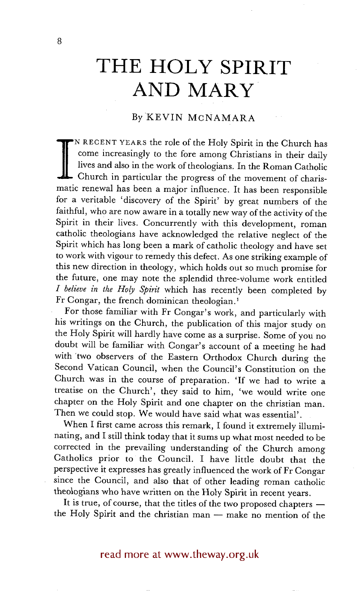# **THE HOLY SPIRIT AND MARY**

### By KEVIN MCNAMARA

IN RECENT YEARS the role of the Holy Spirit in the Church has come increasingly to the fore among Christians in their daily lives and also in the work of theologians. In the Roman Catholic Church in particular the progress come increasingly to the fore among Christians in their daily lives and also in the work of theologians. In the Roman Catholic matic renewal has been a major influence. It has been responsible for a veritable 'discovery of the Spirit' by great numbers of the faithful, who are now aware in a totally new way of the activity of the Spirit in their lives. Concurrently with this development, roman catholic theologians have acknowledged the relative neglect of the Spirit which has long been a mark of catholic theology and have set to work with vigour to remedy this defect. As one striking example of this new direction in theology, which holds out so much promise for the future, one may note the splendid three-volume work entitled *I believe in the Holy Spirit* which has recently been completed by Fr Congar, the french dominican theologian.1

For those familiar with Fr Congar's work, and particularly with his writings on the Church, the publication of this major study on the Holy Spirit will hardly have come as a surprise. Some of you no doubt will be familiar with Congar's account of a meeting he had with 'two observers of the Eastern Orthodox Church during the Second Vatican Council, when the Council's Constitution on the Church was in the course of preparation. 'If we had to write a treatise on the Church', they said to him, 'we would write one chapter on the Holy Spirit and one chapter on the christian man. Then we could stop. We would have said what was essential'.

When I first came across this remark, I found it extremely illuminating, and I still think today that it sums up what most needed to be corrected in the prevailing understanding of the Church among Catholics prior to the Council. I have little doubt that the perspective it expresses has greatly influenced the work of Fr Congar since the Council, and also that of other leading roman catholic theologians who have written on the Holy Spirit in recent years.

It is true, of course, that the titles of the two proposed chapters  $$ the Holy Spirit and the christian man -- make no mention of the

# read more at www.theway.org.uk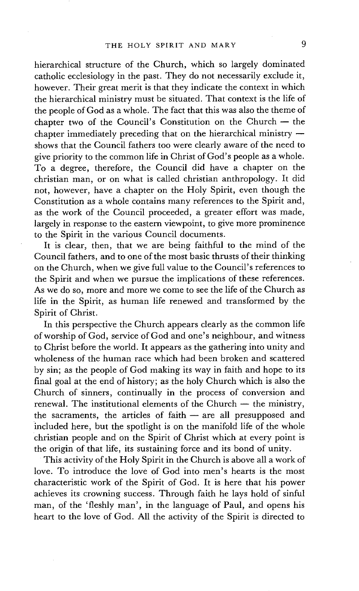hierarchical structure of the Church, which so largely dominated catholic ecclesiology in the past. They do not necessarily exclude it, however. Their great merit is that they indicate the context in which the hierarchical ministry must be situated. That context is the life of the people of God as a whole. The fact that this was also the theme of chapter two of the Council's Constitution on the Church  $-$  the chapter immediately preceding that on the hierarchical ministry  $$ shows that the Council fathers too were clearly aware of the need to give priority to the common life in Christ of God's people as a whole. To a degree, therefore, the Council did have a chapter on the christian man, or on what is called christian anthropology. It did not, however, have a chapter on the Holy Spirit, even though the Constitution as a whole contains many references to the Spirit and, as the work of the Council proceeded, a greater effort was made, largely in response to the eastern viewpoint, to give more prominence to the Spirit in the various Council documents.

It is clear, then, that we are being faithful to the mind of the Council fathers, and to one of the most basic thrusts of their thinking on the Church, when we give full value to the Council's references to the Spirit and when we pursue the implications of these references. As we do so, more and more we come to see the life of the Church as life in the Spirit, as human life renewed and transformed by the Spirit of Christ.

In this perspective the Church appears clearly as the common life of worship of God, service of God and one's neighbour, and witness to Christ before the world. It appears as the gathering into unity and wholeness of the human race which had been broken and scattered by sin; as the people of God making its way in faith and hope to its final goal at the end of history; as the holy Church which is also the Church of sinners, continually in the process of conversion and renewal. The institutional elements of the Church  $-$  the ministry, the sacraments, the articles of faith $-$  are all presupposed and included here, but the spotlight is on the manifold life of the whole christian people and on the Spirit of Christ which at every point is the origin of that life, its sustaining force and its bond of unity.

This activity of the Holy Spirit in the Church is above all a work of love. To introduce the love of God into men's hearts is the most characteristic work of the Spirit of God. It is here that his power achieves its crowning success. Through faith he lays hold of sinful man, of the 'fleshly man', in the language of Paul, and opens his heart to the love of God. All the activity of the Spirit is directed to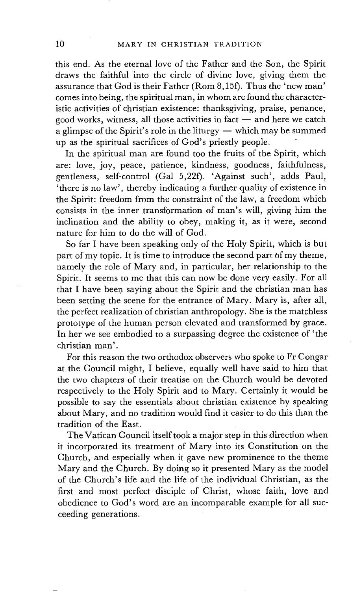this end. As the eternal love of the Father and the Son, the Spirit draws the faithful into the circle of divine love, giving them the assurance that God is their Father (Rom 8,15t). Thus the 'new man' comes into being, the spiritual man, in whom are found the characteristic activities of christian existence: thanksgiving, praise, penance, good works, witness, all those activities in fact  $-$  and here we catch a glimpse of the Spirit's role in the liturgy  $-$  which may be summed up as the spiritual sacrifices of God's priestly people.

In the spiritual man are found too the fruits of the Spirit, which are: love, joy, peace, patience, kindness, goodness, faithfulness, gentleness, self-control (Gal 5,22f). 'Against such', adds Paul, 'there is no law', thereby indicating a further quality of existence in the Spirit: freedom from the constraint of the law, a freedom which consists in the inner transformation of man's will, giving him the inclination and the ability to obey, making it, as it were, second nature for him to do the will of God.

So far I have been speaking only of the Holy Spirit, which is but part of my topic. It is time to introduce the second part of my theme, namely the role of Mary and, in particular, her relationship to the Spirit. It seems to me that this can now be done very easily. For all that I have been saying about the Spirit and the christian man has been setting the scene for the entrance of Mary. Mary is, after all, the perfect realization of christian anthropology. She is the matchless prototype of the human person elevated and transformed by grace. In her we see embodied to a surpassing degree the existence of 'the christian man'.

For this reason the two orthodox observers who spoke to Fr Congar at the Council might, I believe, equally well have said to him that the two chapters of their treatise on the Church would be devoted respectively to the Holy Spirit and to Mary. Certainly it would be possible to say the essentials about christian existence by speaking about Mary, and no tradition would find it easier to do this than the tradition of the East.

The Vatican Council itself took a major step in this direction when it incorporated its treatment of Mary into its Constitution on the Church, and especially when it gave new prominence to the theme Mary and the Church. By doing so it presented Mary as the model of the Church's life and the life of the individual Christian, as the first and most perfect disciple of Christ, whose faith, love and obedience to God's word are an incomparable example for all succeeding generations.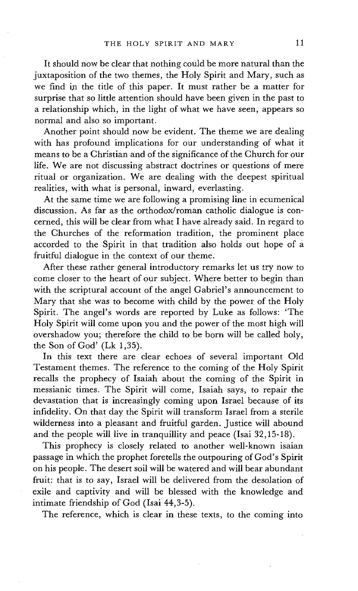It should now be clear that nothing could be more natural than the juxtaposition of the two themes, the Holy Spirit and Mary, such as we find in the title of this paper. It must rather be a matter for surprise that so little attention should have been given in the past to a relationship which, in the light of what we have seen, appears so normal and also so important.

Another point should now be evident. The theme we are dealing with has profound implications for our understanding of what it means to be a Christian and of the significance of the Church for our life. We are not discussing abstract doctrines or questions of mere ritual or organization. We are dealing with the deepest spiritual realities, with what is personal, inward, everlasting.

At the same time we are following a promising line in ecumenical discussion. As far as the orthodox/roman catholic dialogue is concerned, this will be clear from what I have already said. In regard to the Churches of the reformation tradition, the prominent place accorded to the Spirit in that tradition also holds out hope of a fruitful dialogue in the context of our theme.

After these rather general introductory remarks let us try now to come closer to the heart of our subject. Where better to begin than with the scriptural account of the angel Gabriel's announcement to Mary that she was to become with child by the power of the Holy Spirit. The angel's words are reported by Luke as follows: 'The Holy Spirit will come upon you and the power of the most high will overshadow you; therefore the child to be born will be called holy, the Son of God' (Lk 1,35).

In this text there are clear echoes of several important Old Testament themes. The reference to the coming of the Holy Spirit recalls the prophecy of Isaiah about the coming of the Spirit in messianic times. The Spirit will come, Isaiah says, to repair the devastation that is increasingly coming upon Israel because of its infidelity. On that day the Spirit will transform Israel from a sterile wilderness into a pleasant and fruitful garden. Justice will abound and the people will live in tranquillity and peace (Isai 32,15-18).

This prophecy is closely related to another well-known isaian passage in which the prophet foretells the outpouring of God's Spirit on his people. The desert soil will be watered and will bear abundant fruit: that is to say, Israel will be delivered from the desolation of exile and captivity and will be blessed with the knowledge and intimate friendship of God (Isai 44,3-5).

The reference, which is clear in these texts, to the coming into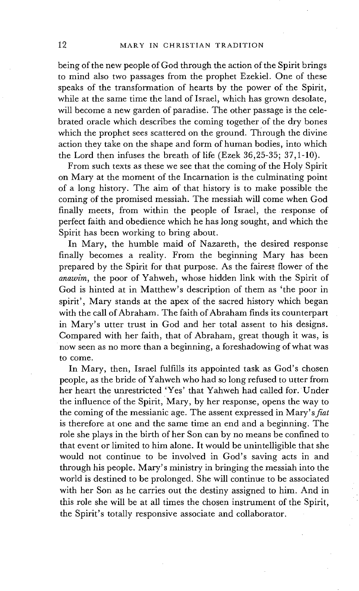being of the new people of God through the action of the Spirit brings to mind also two passages from the prophet Ezekiel. One of these speaks of the transformation of hearts by the power of the Spirit, while at the same time the land of Israel, which has grown desolate, will become a new garden of paradise. The other passage is the celebrated oracle which describes the coming together of the dry bones which the prophet sees scattered on the ground. Through the divine action they take on the shape and form of human bodies, into which the Lord then infuses the breath of life (Ezek 36,25-35; 37,1-10).

From such texts as these we see that the coming of the Holy Spirit on Mary at the moment of the Incarnation is the culminating point of a long history. The aim of that history is to make possible the coming of the promised messiah. The messiah will come when God finally meets, from within the people of Israel, the response of perfect faith and obedience which he has long sought, and which the Spirit has been working to bring about.

In Mary, the humble maid of Nazareth, the desired response finally becomes a reality. From the beginning Mary has been prepared by the Spirit for that purpose. As the fairest flower of the *anawim,* the poor of Yahweh, whose hidden link with the Spirit of God is hinted at in Matthew's description of them as 'the poor in spirit', Mary stands at the apex of the sacred history which began with the call of Abraham. The faith of Abraham finds its counterpart in Mary's utter trust in God and her total assent to his designs. Compared with her faith, that of Abraham, great though it was, is now seen as no more than a beginning, a foreshadowing of what was to come.

In Mary, then, Israel fulfills its appointed task as God's chosen people, as the bride of Yahweh who had so long refused to utter from her heart the unrestricted 'Yes' that Yahweh had called for. Under the influence of the Spirit, Mary, by her response, opens the way to the coming of the messianic age. The assent expressed in *Mary's fiat*  is therefore at one and the same time an end and a beginning. The role she plays in the birth of her Son can by no means be confined to that event or limited to him alone. It would be unintelligible that she would not continue to be involved in God's saving acts in and through his people. Mary's ministry in bringing the messiah into the world is destined to be prolonged. She will continue to be associated with her Son as he carries out the destiny assigned to him. And in this role she will be at all times the chosen instrument of the Spirit, the Spirit's totally responsive associate and collaborator.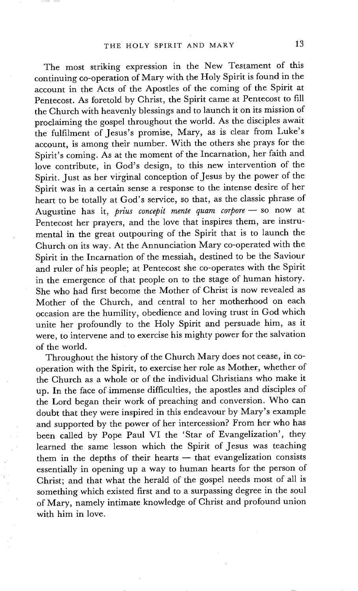The most striking expression in the New Testament of this continuing co-operation of Mary with the Holy Spirit is found in the account in the Acts of the Apostles of the coming of the Spirit at Pentecost. As foretold by Christ, the Spirit came at Pentecost to fill the Church with heavenly blessings and to launch it on its mission of proclaiming the gospel throughout the world. As the disciples await the fulfilment of Jesus's promise, Mary, as is clear from Luke's account, is among their number. With the others she prays for the Spirit's coming. As at the moment of the Incarnation, her faith and love contribute, in God's design, to this new intervention of the Spirit. Just as her virginal conception of Jesus by the power of the Spirit was in a certain sense a response to the intense desire of her heart to be totally at God's service, so that, as the classic phrase of Augustine has it, *prius concepit mente quam corpore* - so now at Pentecost her prayers, and the love that inspires them, are instrumental in the great outpouring of the Spirit that is to launch the Church on its way. At the Annunciation Mary co-operated with the Spirit in the Incarnation of the messiah, destined to be the Saviour and ruler of his people; at Pentecost she co-operates with the Spirit in the emergence of that people on to the stage of human history. She who had first become the Mother of Christ is now revealed as Mother of the Church, and central to her motherhood on each occasion are the humility, obedience and loving trust in God which unite her profoundly to the Holy Spirit and persuade him, as it were, to intervene and to exercise his mighty power for the salvation of the world.

Throughout the history of the Church Mary does not cease, in cooperation with the Spirit, to exercise her role as Mother, whether of the Church as a whole or of the individual Christians who make it up. In the face of immense difficulties, the apostles and disciples of the Lord began their work of preaching and conversion. Who can doubt that they were inspired in this endeavour by Mary's example and supported by the power of her intercession? From her who has been called by Pope Paul VI the 'Star of Evangelization', they learned the same lesson which the Spirit of Jesus was teaching them in the depths of their hearts  $-$  that evangelization consists essentially in opening up a way to human hearts for the person of Christ; and that what the herald of the gospel needs most of all is something which existed first and to a surpassing degree in the soul of Mary, namely intimate knowledge of Christ and profound union with him in love.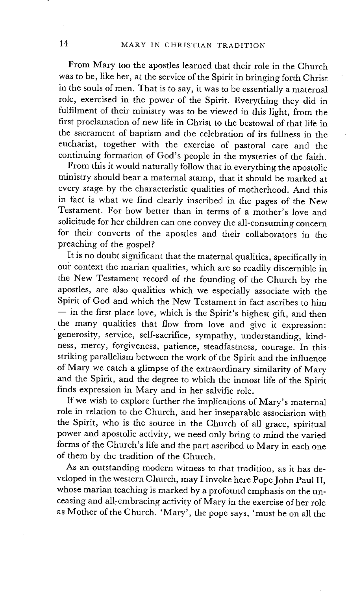From Mary too the apostles learned that their role in the Church was to be, like her, at the service of the Spirit in bringing forth Christ in the souls of men. That is to say, it was to be essentially a maternal role, exercised in the power of the Spirit. Everything they did in fulfilment of their ministry was to be viewed in this light, from the first proclamation of new life in Christ to the bestowal of that life in the sacrament of baptism and the celebration of its fullness in the eucharist, together with the exercise of pastoral care and the continuing formation of God's people in the mysteries of the faith.

From this it would naturally follow that in everything the apostolic ministry should bear a maternal stamp, that it should be marked at every stage by the characteristic qualities of motherhood. And this in fact is what we find clearly inscribed in the pages of the New Testament. For how better than in terms of a mother's love and solicitude for her children can one convey the all-consuming concern for their converts of the apostles and their collaborators in the preaching of the gospel?

It is no doubt significant that the maternal qualities, specifically in our context the marian qualities, which are so readily discernible in the New Testament record of the founding of the Church by the apostles, are also qualities which we especially associate with the Spirit of God and which the New Testament in fact ascribes to him  $\frac{1}{\pi}$  in the first place love, which is the Spirit's highest gift, and then the many qualities that flow from love and give it expression: generosity, service, self-sacrifice, sympathy, understanding, kindness, mercy, forgiveness, patience, steadfastness, courage. In this striking parallelism between the work of the Spirit and the influence of Mary we catch a glimpse of the extraordinary similarity of Mary and the Spirit, and the degree to which the inmost life of the Spirit finds expression in Mary and in her salvific role.

If we wish to explore further the implications of Mary's maternal role in relation to the Church, and her inseparable association with the Spirit, who is the source in the Church of all grace, spiritual power and apostolic activity, we need only bring to mind the varied forms of the Church's life and the part ascribed to Mary in each one of them by the tradition of the Church.

As an *outstanding* modern witness to that tradition, as it has developed in the western Church, may I invoke here Pope John Paul II, whose marian teaching is marked by a profound emphasis on the unceasing and all-embracing activity of Mary in the exercise of her role as Mother of the Church. 'Mary', the pope says, 'must be on all the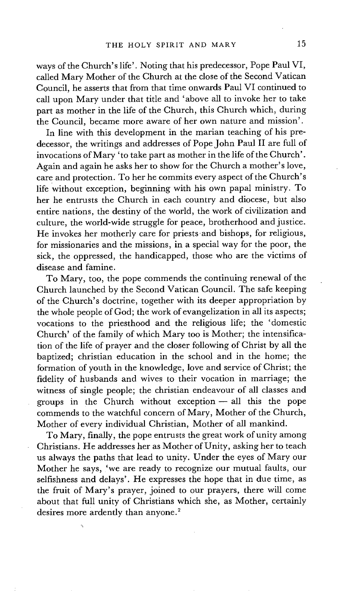ways of the Church's life'. Noting that his predecessor, Pope Paul VI, called Mary Mother of the Church at the close of the Second Vatican Council, he asserts that from that time onwards Paul VI continued to call upon Mary under that title and 'above all to invoke her to take part as mother in the life of the Church, this Church which, during the Council, became more aware of her own nature and mission'.

In line with this development in the marian teaching of his predecessor, the writings and addresses of Pope John Paul II are full of invocations of Mary 'to take part as mother in the life of the Church'. Again and again he asks her to show for the Church a mother's love, care and protection. To her he commits every aspect of the Church's life without exception, beginning with his own papal ministry. To her he entrusts the Church in each country and diocese, but also entire nations, the destiny of the world, the work of civilization and culture, the world-wide struggle for peace, brotherhood and justice. He invokes her motherly care for priests-and bishops, for religious, for missionaries and the missions, in a special way for the poor, the sick, the oppressed, the handicapped, those who are the victims of disease and famine.

To Mary, too, the pope commends the continuing renewal of the Church launched by the Second Vatican Council. The safe keeping of the Church's doctrine, together with its deeper appropriation by the whole people of God; the work of evangelization in all its aspects; vocations to the priesthood and the religious life; the 'domestic Church' of the family of which Mary too is Mother; the intensification of the life of prayer and the closer following of Christ by all the baptized; christian education in the school and in the home; the formation of youth in the knowledge, love and service of Christ; the fidelity of husbands and wives to their vocation in marriage; the witness of single people; the christian endeavour of all classes and groups in the Church without exception - all this the pope commends to the watchful concern of Mary, Mother of the Church, Mother of every individual Christian, Mother of all mankind.

To Mary, finally, the pope entrusts the great work of unity among Christians. He addresses her as Mother of Unity, asking her to teach us always the paths that lead to unity. Under the eyes of Mary our Mother he says, 'we are ready to recognize our mutual faults, our selfishness and delays'. He expresses the hope that in due time, as the fruit of Mary's prayer, joined to our prayers, there will come about that full unity of Christians which she, as Mother, certainly desires more ardently than anyone.<sup>2</sup>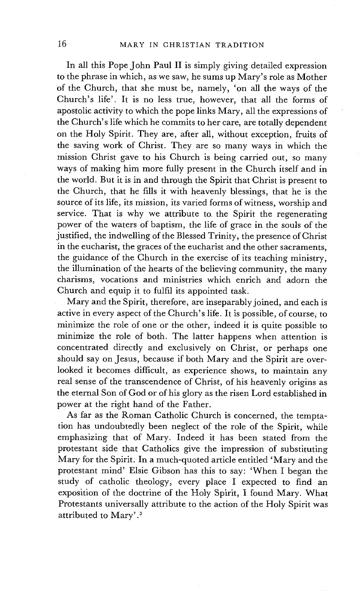In all this Pope John Paul II is simply giving detailed expression to the phrase in which, as we saw, he sums up Mary's role as Mother of the Church, that she must be, namely, 'on all the ways of the Church's life'. It is no less true, however, that all the forms of apostolic activity to which the pope links Mary, all the expressions of the Church's life which he commits to her care, are totally dependent on the Holy Spirit. They are, after all, without exception, fruits of the saving work of Christ. They are so many ways in which the mission Christ gave to his Church is being carried out, so many ways of making him more fully present in the Church itself and in the world. But it is in and through the Spirit that Christ is present to the Church, that he fills it with heavenly blessings, that he is the source of its life, its mission, its varied forms of witness, worship and service. That is why we attribute to the Spirit the regenerating power of the waters of baptism, the life of grace in the souls of the justified, the indwelling of the Blessed Trinity, the presence of Christ in the eucharist, the graces of the eucharist and the other sacraments, the guidance of the Church in the exercise of its teaching ministry, the illumination of the hearts of the believing community, the many charisms, vocations and ministries which enrich and adorn the Church and equip it to fulfil its appointed task.

Mary and the Spirit, therefore, are inseparably joined, and each is active in every aspect of the Church's life. It is possible, of course, to minimize the role of one or the other, indeed it is quite possible to minimize the role of both. The latter happens when attention is concentrated directly and exclusively on Christ, or perhaps one should say on Jesus, because if both Mary and the Spirit are overlooked it becomes difficult, as experience shows, to maintain any real sense of the transcendence of Christ, of his heavenly origins as the eternal Son of God or of his glory as the risen Lord established in power at the right hand of the Father.

As far as the Roman Catholic Church is concerned, the temptation has undoubtedly been neglect of the role of the Spirit, while emphasizing that of Mary. Indeed it has been stated from the protestant side that Catholics give the impression of substituting Mary for the Spirit: In a much-quoted article entitled 'Mary and the protestant mind' Elsie Gibson has this to say: 'When I began the study of catholic theology, every place I expected to find an exposition of the doctrine of the Holy Spirit, I found Mary. What Protestants universally attribute to the action of the Holy Spirit was attributed to Mary'. 3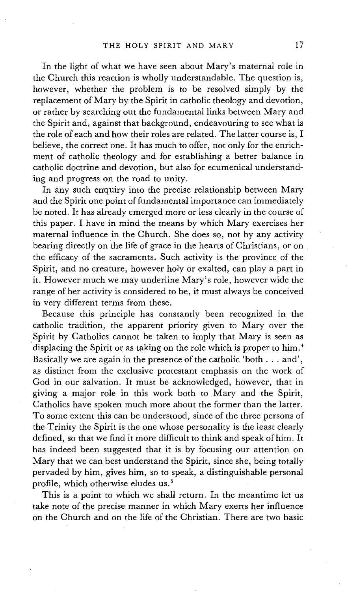In the light of what we have seen about Mary's maternal role in the Church this reaction is wholly understandable. The question is, however, whether the problem is to be resolved simply by the replacement of Mary by the Spirit in catholic theology and devotion, or rather by searching out the fundamental links between Mary and the Spirit and, against that background, endeavouring to see what is the role of each and how their roles are related. The latter course is, I believe, the correct one. It has much to offer, not only for the enrichment of catholic theology and for establishing a better balance in catholic doctrine and devotion, but also for ecumenical understanding and progress on the road to unity.

In any such enquiry into the precise relationship between Mary and the Spirit one point of fundamental importance can immediately be noted. It has already emerged more or less clearly in the course of this paper. I have in mind the means by which Mary exercises her maternal influence in the Church. She does so, not by any activity bearing directly on the life of grace in the hearts of Christians, or on the efficacy of the sacraments. Such activity is the province of the Spirit, and no creature, however holy or exalted, can play a part in it. However much we may underline Mary's role, however wide the range of her activity is considered to be, it must always be conceived in very different terms from these.

Because this principle has constantly been recognized in the catholic tradition, the apparent priority given to Mary over the Spirit by Catholics cannot be taken to imply that Mary is seen as displacing the Spirit or as taking on the role which is proper to him.<sup>4</sup> Basically we are again in the presence of the catholic 'both... and', as distinct from the exclusive protestant emphasis on the work of God in our salvation. It must be acknowledged, however, that in giving a major role in this work both to Mary and the Spirit, Catholics have spoken much more about the former than the latter. To some extent this can be understood, since of the three persons of the Trinity the Spirit is the one whose personality is the least clearly defined, so that we find it more difficult to think and speak of him. It has indeed been suggested that it is by focusing our attention on Mary that we can best understand the Spirit, since she, being totally pervaded by him, gives him, so to speak, a distinguishable personal profile, which otherwise eludes us.<sup>5</sup>

This is a point to which we shall return. In the meantime let us take note of the precise manner in which Mary exerts her influence on the Church and on the life of the Christian. There are two basic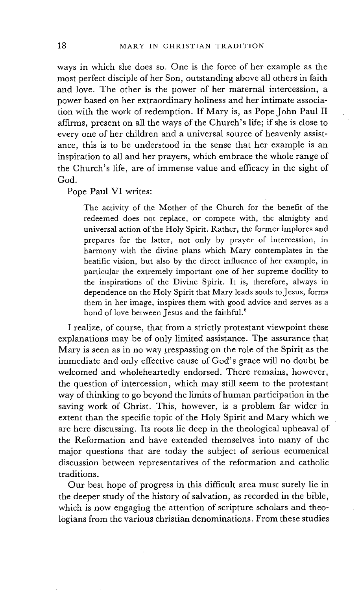ways in which she does so. One is the force of her example as the most perfect disciple of her Son, outstanding above all others in faith and love. The other is the power of her maternal intercession, a power based on her extraordinary holiness and her intimate association with the work of redemption. If Mary is, as Pope John Paul II affirms, present on all the ways of the Church's life; if she is close to every one of her children and a universal source of heavenly assistance, this is to be understood in the sense that her example is an inspiration to all and her prayers, which embrace the whole range of the Church's life, are of immense value and efficacy in the sight of God.

Pope Paul VI writes:

The activity of the Mother of the Church for the benefit of the redeemed does not replace, or compete with, the almighty and universal action of the Holy Spirit. Rather, the former implores and prepares for the latter, not only by prayer of intercession, in harmony with the divine plans which Mary contemplates in the beatific vision, but also by the direct influence of her example, in particular the extremely important one of her supreme docility to the inspirations of the Divine Spirit. It is, therefore, always in dependence on the Holy Spirit that Mary leads souls to Jesus, forms them in her image, inspires them with good advice and serves as a bond of love between Jesus and the faithful.<sup>6</sup>

I realize, of course, that from a strictly protestant viewpoint these explanations may be of only limited assistance. The assurance that Mary is seen as in no way trespassing on the role of the Spirit as the immediate and only effective cause of God's grace will no doubt be welcomed and wholeheartedly endorsed. There remains, however, the question of intercession, which may still seem to the protestant way of thinking to go beyond the limits of human participation in the saving work of Christ. This, however, is a problem far wider in extent than the specific topic of the Holy Spirit and Mary which we are here discussing. Its roots lie deep in the theological upheaval of the Reformation and have extended themselves into many of the major questions that are today the subject of serious ecumenical discussion between representatives of the reformation and catholic traditions.

Our best hope of progress in this difficult area must surely lie in the deeper study of the history of salvation, as recorded in the bible, which is now engaging the attention of scripture scholars and theologians from the various christian denominations. From these studies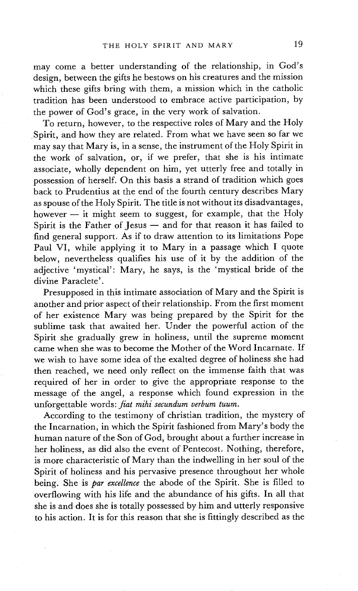may come a better understanding of the relationship, in God's design, between the gifts he bestows on his creatures and the mission which these gifts bring with them, a mission which in the catholic tradition has been understood to embrace active participation, by the power of God's grace, in the very work of salvation.

To return, however, to the respective roles of Mary and the Holy Spirit, and how they are related. From what we have seen so far we may say that Mary is, in a sense, the instrument of the Holy Spirit in the work of salvation, or, if we prefer, that she is his intimate associate, wholly dependent on him, yet utterly free and totally in possession of herself. On this basis a strand of tradition which goes back to Prudentius at the end of the fourth century describes Mary as spouse of the Holy Spirit. The title is not without its disadvantages, however  $-$  it might seem to suggest, for example, that the Holy Spirit is the Father of Jesus  $-$  and for that reason it has failed to find general support. As if to draw attention to its limitations Pope Paul VI, while applying it to Mary in a passage which I quote below, nevertheless qualifies his use of it by the addition of the adjective 'mystical': Mary, he says, is the 'mystical bride of the divine Paraclete'.

Presupposed in this intimate association of Mary and the Spirit is another and prior aspect of their relationship. From the first moment of her existence Mary was being prepared by the Spirit for the sublime task that awaited her. Under the powerful action of the Spirit she gradually grew in holiness, until the supreme moment came when she was to become the Mother of the Word Incarnate. If we wish to have some idea of the exalted degree of holiness she had then reached, we need only reflect on the immense faith that was required of her in order to give the appropriate response to the message of the angel, a response which found expression in the unforgettable words: *fiat mihi secundum verbum tuum.* 

According to the testimony of christian tradition, the mystery of the Incarnation, in which the Spirit fashioned from Mary's body the human nature of the Son of God, brought about a further increase in her holiness, as did also the event of Pentecost. Nothing, therefore, is more characteristic of Mary than the indwelling in her soul of the Spirit of holiness and his pervasive presence throughout her whole being. She is *par excdIence* the abode of the Spirit. She is filled to overflowing with his life and the abundance of his gifts. In all that she is and does she is totally possessed by him and utterly responsive to his action. It is for this reason that she is fittingly described as the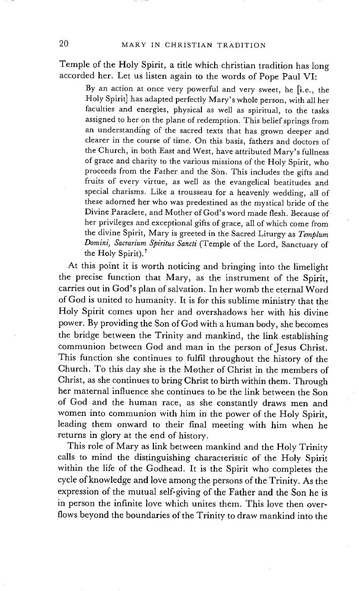Temple of the Holy Spirit, a title which christian tradition has long accorded her. Let us listen again to the words of Pope Paul VI:

By an action at once very powerful and very sweet, he [i.e., the Holy Spirit] has adapted perfectly Mary's whole person, with all her faculties and energies, physical as well as spiritual, to the tasks assigned to her on the plane of redemption. This belief springs from an understanding of the sacred texts that has grown deeper and clearer in the course of time. On this basis, fathers and doctors of the Church, in both East and West, have attributed Mary's fullness of grace and charity to the various missions of the Holy Spirit, who proceeds from the Father and the Son. This includes the gifts and fruits of every virtue, as well as the evangelical beatitudes and special charisms. Like a trousseau for a heavenly wedding, all of these adorned her who was predestined as the mystical bride of the Divine Paraclete, and Mother of God's word made flesh. Because of her privileges and exceptional gifts of grace, all of which come from the divine Spirit, Mary is greeted in the Sacred Liturgy as *Templum Domini, Sacrarium Spiritus Sancli* (Temple of the Lord, Sanctuary of the Holy Spirit).<sup>7</sup>

At this point it is worth noticing and bringing into the limelight the precise function that Mary, as the instrument of the Spirit. carries out in God's plan of salvation. In her womb the eternal Word of God is united to humanity. It is for this sublime ministry that the Holy Spirit comes upon her and overshadows her with his divine power. By providing the Son of God with a human body, she becomes the bridge between the Trinity and mankind, the link establishing communion between God and man in the person of Jesus Christ. This function she continues to fulfil throughout the history of the Church. To this day she is the Mother of Christ in the members of Christ, as she continues to bring Christ to birth within them. Through her maternal influence she continues to be the link between the Son of God and the human race, as she constantly draws men and women into communion with him in the power of the Holy Spirit, leading them onward to their final meeting with him when he returns in glory at the end of history.

This role of Mary as link between mankind and the Holy Trinity calls to mind the distinguishing characteristic of the Holy Spirit within the life of the Godhead. It is the Spirit who completes the cycle of knowledge and love among the persons of the Trinity. As the expression of the mutual self-giving of the Father and the Son he is in person the infinite love which unites them. This love then overflows beyond the boundaries of the Trinity to draw mankind into the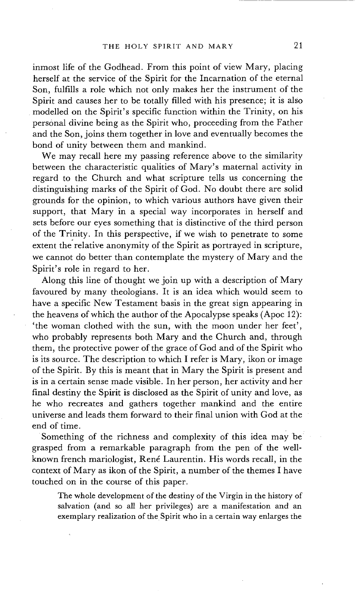inmost life of the Godhead. From this point of view Mary, placing herself at the service of the Spirit for the Incarnation of the eternal Son, fulfills a role which not only makes her the instrument of the Spirit and causes her to be totally filled with his presence; it is also modelled on the Spirit's specific function within the Trinity, on his personal divine being as the Spirit who, proceeding from the Father and the Son, joins them together in love and eventually becomes the bond of unity between them and mankind.

We may recall here my passing reference above to the similarity between the characteristic qualities of Mary's maternal activity in regard to the Church and what scripture tells us concerning the distinguishing marks of the Spirit of God. No doubt there are solid grounds for the opinion, to which various authors have given their support, that Mary in a special way incorporates in herself and sets before our eyes something that is distinctive of the third person of the Trinity. In this perspective, if we wish to penetrate to some extent the relative anonymity of the Spirit as portrayed in scripture, we cannot do better than contemplate the mystery of Mary and the Spirit's role in regard to her.

Along this line of thought we join up with a description of Mary favoured by many theologians. It is an idea which would seem to have a specific New Testament basis in the great sign appearing in the heavens of which the author of the Apocalypse speaks (Apoc 12): 'the woman clothed with the sun, with the moon under her feet', who probably represents both Mary and the Church and, through them, the protective power of the grace of God and of the Spirit who is its source. The description to which I refer is Mary, ikon or image of the Spirit. By this is meant that in Mary the Spirit is present and is in a certain sense made visible. In her person, her activity and her final destiny the Spirit is disclosed as the Spirit of unity and love, as he who recreates and gathers together mankind and the entire universe and leads them forward to their final union with God at the end of time.

Something of the richness and complexity of this idea may be grasped from a remarkable paragraph from the pen of the wellknown french mariologist, René Laurentin. His words recall, in the context of Mary as ikon of the Spirit, a number of the themes I have touched on in the course of this paper.

The whole development of the destiny of the Virgin in the history of salvation (and so all her privileges) are a manifestation and an exemplary realization of the Spirit who in a certain way enlarges the